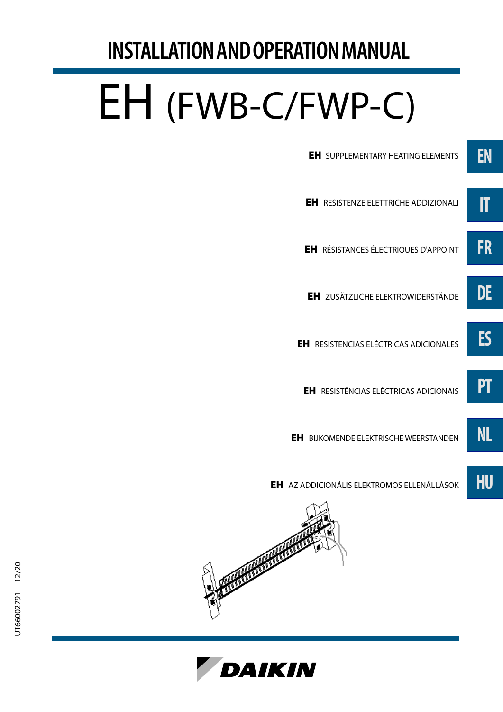## **INSTALLATION AND OPERATION MANUAL**

# EH (FWB-C/FWP-C)

| <b>EH</b> SUPPLEMENTARY HEATING ELEMENTS          | EN |
|---------------------------------------------------|----|
| <b>EH</b> RESISTENZE ELETTRICHE ADDIZIONALI       | 'n |
| <b>EH</b> RÉSISTANCES ÉLECTRIQUES D'APPOINT       | FR |
| <b>EH</b> ZUSÄTZLICHE ELEKTROWIDERSTÄNDE          | DE |
| <b>EH</b> RESISTENCIAS ELÉCTRICAS ADICIONALES     | ES |
| <b>EH</b> RESISTÊNCIAS ELÉCTRICAS ADICIONAIS      | PT |
| <b>EH</b> BIJKOMENDE ELEKTRISCHE WEERSTANDEN      | NL |
| <b>EH</b> AZ ADDICIONÁLIS ELEKTROMOS ELLENÁLLÁSOK | HU |
|                                                   |    |



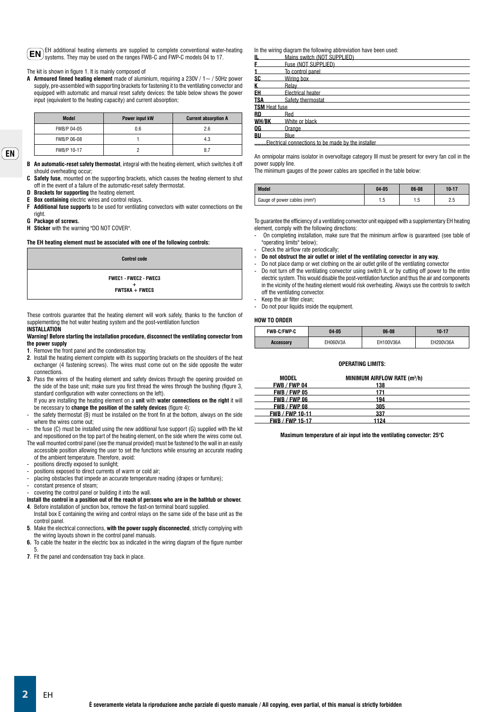The kit is shown in figure 1. It is mainly composed of

**A Armoured finned heating element** made of aluminium, requiring a 230V / 1~ / 50Hz power supply, pre-assembled with supporting brackets for fastening it to the ventilating convector and equipped with automatic and manual reset safety devices: the table below shows the power input (equivalent to the heating capacity) and current absorption;

| <b>Model</b> | Power input kW | <b>Current absorption A</b> |
|--------------|----------------|-----------------------------|
| FWB/P 04-05  | 0.6            | 2.6                         |
| FWB/P 06-08  |                | 4.3                         |
| FWB/P 10-17  |                |                             |

**EN**

- **B An automatic-reset safety thermostat**, integral with the heating element, which switches it off should overheating occur;
- Safety fuse, mounted on the supporting brackets, which causes the heating element to shut off in the event of a failure of the automatic-reset safety thermostat.
- 
- **D Brackets for supporting** the heating element.<br>**E Box containing** electric wires and control rela **E Box containing** electric wires and control relays.<br>**F Additional fuse supports** to be used for ventilating
- **F Additional fuse supports** to be used for ventilating convectors with water connections on the right.
- **G Package of screws.**
- **H Sticker** with the warning "DO NOT COVER".

#### **The EH heating element must be associated with one of the following controls:**

| <b>Control code</b>                                   |  |
|-------------------------------------------------------|--|
| <b>FWEC1 - FWEC2 - FWEC3</b><br><b>FWTSKA + FWECS</b> |  |
|                                                       |  |

These controls guarantee that the heating element will work safely, thanks to the function of supplementing the hot water heating system and the post-ventilation function **INSTALLATION**

#### **Warning! Before starting the installation procedure, disconnect the ventilating convector from the power supply**

- **1**. Remove the front panel and the condensation tray.
- **2**. Install the heating element complete with its supporting brackets on the shoulders of the heat exchanger (4 fastening screws). The wires must come out on the side opposite the water connections.
- **3**. Pass the wires of the heating element and safety devices through the opening provided on the side of the base unit; make sure you first thread the wires through the bushing (figure 3, standard configuration with water connections on the left).
- If you are installing the heating element on a **unit** with **water connections on the right** it will be necessary to **change the position of the safety devices** (figure 4):
- the safety thermostat (B) must be installed on the front fin at the bottom, always on the side where the wires come out;
- the fuse (C) must be installed using the new additional fuse support (G) supplied with the kit and repositioned on the top part of the heating element, on the side where the wires come out.
- The wall mounted control panel (see the manual provided) must be fastened to the wall in an easily accessible position allowing the user to set the functions while ensuring an accurate reading of the ambient temperature. Therefore, avoid:
- positions directly exposed to sunlight;
- positions exposed to direct currents of warm or cold air;
- placing obstacles that impede an accurate temperature reading (drapes or furniture);
- constant presence of steam;
- covering the control panel or building it into the wall.
- **Install the control in a position out of the reach of persons who are in the bathtub or shower.**
- **4**. Before installation of junction box, remove the fast-on terminal board supplied. Install box E containing the wiring and control relays on the same side of the base unit as the control panel.
- **5**. Make the electrical connections, **with the power supply disconnected**, strictly complying with the wiring layouts shown in the control panel manuals.
- **6.** To cable the heater in the electric box as indicated in the wiring diagram of the figure number 5.
- **7**. Fit the panel and condensation tray back in place.

In the wiring diagram the following abbreviation have been used:

| IL.                  | Mains switch (NOT SUPPLIED)                        |  |  |
|----------------------|----------------------------------------------------|--|--|
| F.                   | Fuse (NOT SUPPLIED)                                |  |  |
| 1.                   | To control panel                                   |  |  |
| <b>SC</b>            | Wiring box                                         |  |  |
| K.                   | <b>Relav</b>                                       |  |  |
| EH                   | Electrical heater                                  |  |  |
| TSA                  | Safety thermostat                                  |  |  |
| <b>TSM</b> Heat fuse |                                                    |  |  |
| RD                   | Red                                                |  |  |
|                      | <b>WH/BK</b> White or black                        |  |  |
| OG L                 | Orange                                             |  |  |
| BU                   | Blue                                               |  |  |
|                      | Electrical connections to be made by the installer |  |  |
|                      |                                                    |  |  |

An omnipolar mains isolator in overvoltage category III must be present for every fan coil in the power supply line.

The minimum gauges of the power cables are specified in the table below:

| <b>Model</b>                             | 04-05 | 06-08 | $10-17$ |
|------------------------------------------|-------|-------|---------|
| Gauge of power cables (mm <sup>2</sup> ) | ں. ا  | ن. ا  | c.u     |

To guarantee the efficiency of a ventilating convector unit equipped with a supplementary EH heating element, comply with the following directions:

- On completing installation, make sure that the minimum airflow is guaranteed (see table of "operating limits" below);
- Check the airflow rate periodically;
- **Do not obstruct the air outlet or inlet of the ventilating convector in any way.**
- Do not place damp or wet clothing on the air outlet grille of the ventilating convector Do not turn off the ventilating convector using switch IL or by cutting off power to the entire
- electric system. This would disable the post-ventilation function and thus the air and components in the vicinity of the heating element would risk overheating. Always use the controls to switch off the ventilating convector. Keep the air filter clean;
- Do not pour liquids inside the equipment.

#### **HOW TO ORDER**

| FWB-C/FWP-C      | 04-05    | $06-08$   | 10-17     |
|------------------|----------|-----------|-----------|
| <b>Accessory</b> | EH060V3A | EH100V36A | EH200V36A |

#### **OPERATING LIMITS:**

| MODEL                  | <b>MINIMUM AIRFLOW RATE (m3/h)</b> |  |
|------------------------|------------------------------------|--|
| <b>FWB / FWP 04</b>    | 138                                |  |
| <b>FWB / FWP 05</b>    | 171                                |  |
| <b>FWB / FWP 06</b>    | 194                                |  |
| <b>FWB / FWP 08</b>    | 305                                |  |
| <b>FWB / FWP 10-11</b> | 337                                |  |
| <b>FWB / FWP 15-17</b> | 1124                               |  |

**Maximum temperature of air input into the ventilating convector: 25°C**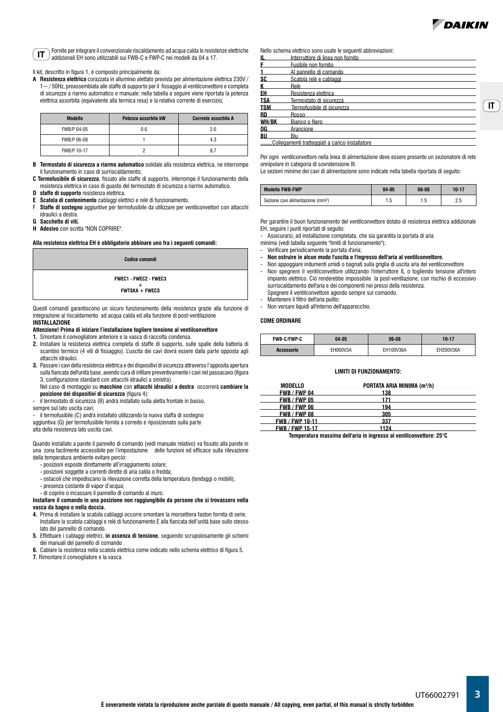



Fornite per integrare il convenzionale riscaldamento ad acqua calda le resistenze elettriche addizionali EH sono utilizzabili sui FWB-C e FWP-C nei modelli da 04 a 17.

Il kit, descritto in figura 1, è composto principalmente da:

**A Resistenza elettrica** corazzata in alluminio alettato prevista per alimentazione elettrica 230V / 1~ / 50Hz, preassemblata alle staffe di supporto per il fissaggio al ventilconvettore e completa di sicurezze a riarmo automatico e manuale: nella tabella a seguire viene riportata la potenza elettrica assorbita (equivalente alla termica resa) e la relativa corrente di esercizio;

| <b>Modello</b> | Potenza assorbita kW | Corrente assorbita A |
|----------------|----------------------|----------------------|
| FWB/P 04-05    | 0.6                  | 2.6                  |
| FWB/P 06-08    |                      | 4.3                  |
| FWB/P 10-17    |                      |                      |

**B Termostato di sicurezza a riarmo automatico** solidale alla resistenza elettrica, ne interrompe il funzionamento in caso di surriscaldamento;

- **C Termofusibile di sicurezza**, fissato alle staffe di supporto, interrompe il funzionamernto della resistenza elettrica in caso di guasto del termostato di sicurezza a riarmo automatico.
- **D staffe di supporto** resistenza elettrica.
- **E Scatola di contenimento** cablaggi elettrici e relé di funzionamento.
- F **Staffe di sostegno** aggiuntive per termofusibile da utilizzare per ventilconvettori con attacchi idraulici a destra.
- **G Sacchetto di viti.**
- **H Adesivo** con scritta "NON COPRIRE".

#### **Alla resistenza elettrica EH è obbligatorio abbinare uno fra i seguenti comandi:**

| Codice comandi                                        |  |
|-------------------------------------------------------|--|
| <b>FWEC1 - FWEC2 - FWEC3</b><br><b>FWTSKA + FWECS</b> |  |
|                                                       |  |

Questi comandi garantiscono un sicuro funzionamento della resistenza grazie alla funzione di integrazione al riscaldamento ad acqua calda ed alla funzione di post-ventilazione **INSTALLAZIONE**

#### **Attenzione! Prima di iniziare l'installazione togliere tensione al ventilconvettore 1.** Smontare il convogliatore anteriore e la vasca di raccolta condensa.

- **2.** Installare la resistenza elettrica completa di staffe di supporto, sulle spalle della batteria di scambio termico (4 viti di fissaggio). L'uscita dei cavi dovrà essere dalla parte opposta agli attacchi idraulici.
- **3.** Passare i cavi della resistenza elettrica e dei dispositivi di sicurezza attraverso l'apposita apertura sulla fiancata dell'unità base, avendo cura di infilare preventivamente i cavi nel passacavo (figura 3, configurazione standard con attacchi idraulici a sinistra).
- Nel caso di montaggio su **macchine** con **attacchi idraulici a destra** occorrerà **cambiare la posizione dei dispositivi di sicurezza** (figura 4):
- il termostato di sicurezza (B) andrà installato sulla aletta frontale in basso,
- sempre sul lato uscita cavi;
- il termofusibile (C) andrà installato utilizzando la nuova staffa di sostegno
- aggiuntiva (G) per termofusibile fornita a corredo e riposizionato sulla parte

alta della resistenza lato uscita cavi.

Quando installato a parete il pannello di comando (vedi manuale relativo) va fissato alla parete in una zona facilmente accessibile per l'impostazione delle funzioni ed efficace sulla rilevazione della temperatura ambiente evitare perciò:

- posizioni esposte direttamente all'irraggiamento solare;
- posizioni soggette a correnti dirette di aria calda o fredda;
- ostacoli che impediscano la rilevazione corretta della temperatura (tendaggi o mobili);
- presenza costante di vapor d'acqua;
- di coprire o incassare il pannello di comando al muro.

**Installare il comando in una posizione non raggiungibile da persone che si trovassero nella vasca da bagno o nella doccia.**

- **4.** Prima di installare la scatola cablaggi occorre smontare la morsettiera faston fornita di serie. Installare la scatola cablaggi e relè di funzionamento E alla fiancata dell'unità base sullo stesso lato del pannello di comando.
- **5.** Effettuare i cablaggi elettrici, **in assenza di tensione**, seguendo scrupolosamente gli schemi dei manuali del pannello di comando .
- **6.** Cablare la resistenza nella scatola elettrica come indicato nello schema elettrico di figura 5.
- **7.** Rimontare il convogliatore e la vasca.

Nello schema elettrico sono usate le seguenti abbreviazioni:

|              | Interruttore di linea non fornito                                                                                                                                                                                             |
|--------------|-------------------------------------------------------------------------------------------------------------------------------------------------------------------------------------------------------------------------------|
|              | Fusibile non fornito                                                                                                                                                                                                          |
| $\mathbf{1}$ | Al pannello di comando                                                                                                                                                                                                        |
| SC           | Scatola relè e cablaggi                                                                                                                                                                                                       |
| ĸ            | Relè                                                                                                                                                                                                                          |
| EH           | Resistenza elettrica elettrica elettrica elettrica elettrica elettrica elettrica elettrica elettrica elettrica                                                                                                                |
| <b>TSA</b>   | Termostato di sicurezza                                                                                                                                                                                                       |
| TSM          | Termofusibile di sicurezza                                                                                                                                                                                                    |
| <b>RD</b>    | Rosso and the contract of the contract of the contract of the contract of the contract of the contract of the contract of the contract of the contract of the contract of the contract of the contract of the contract of the |
| WH/BK        | Bianco o Nero                                                                                                                                                                                                                 |
| OG.          | Arancione                                                                                                                                                                                                                     |
| BU           | Blu                                                                                                                                                                                                                           |
|              |                                                                                                                                                                                                                               |

**........**Collegamenti tratteggiati a carico installatore

Per ogni ventilconvettore nella linea di alimentazione deve essere presente un sezionatore di rete onnipolare in categoria di sovratensione III.

Le sezioni minime dei cavi di alimentazione sono indicate nella tabella riportata di seguito:

| <b>Modello FWB-FWP</b>                        | 04-05 | 06-08 | 10-17 |
|-----------------------------------------------|-------|-------|-------|
| Sezione cavi alimentazione (mm <sup>2</sup> ) | ن. ا  | ں ا   |       |

Per garantire il buon funzionamento del ventilconvettore dotato di resistenza elettrica addizionale EH, seguire i punti riportati di seguito:

- Assicurarsi, ad installazione completata, che sia garantita la portata di aria

- minima (vedi tabella seguente "limiti di funzionamento"); - Verificare periodicamente la portata d'aria;
- **Non ostruire in alcun modo l'uscita e l'ingresso dell'aria al ventilconvettore.**
- Non appoggiare indumenti umidi o bagnati sulla griglia di uscita aria del ventilconvettore
- Non spegnere il ventilconvettore utilizzando l'interruttore IL o togliendo tensione all'intero impianto elettrico. Ciò renderebbe impossibile la post-ventilazione, con rischio di eccessivo surriscaldamento dell'aria e dei componenti nei pressi della resistenza. Spegnere il ventilconvettore agendo sempre sul comando.
- Mantenere il filtro dell'aria pulito;
- Non versare liquidi all'interno dell'apparecchio.

#### **COME ORDINARE**

| <b>FWB-C/FWP-C</b> | 04-05    | 06-08     | 10-17     |
|--------------------|----------|-----------|-----------|
| <b>Accessorio</b>  | EH060V3A | EH100V36A | EH200V36A |

#### **LIMITI DI FUNZIONAMENTO:**

| <b>MODELLO</b>         | PORTATA ARIA MINIMA (m <sup>3</sup> /h) |  |
|------------------------|-----------------------------------------|--|
| <b>FWB / FWP 04</b>    | 138                                     |  |
| <b>FWB / FWP 05</b>    | 171                                     |  |
| <b>FWB / FWP 06</b>    | 194                                     |  |
| <b>FWB / FWP 08</b>    | 305                                     |  |
| <b>FWB / FWP 10-11</b> | 337                                     |  |
| <b>FWB / FWP 15-17</b> | 1124                                    |  |

**Temperatura massima dell'aria in ingresso al ventilconvettore: 25°C**

**IT**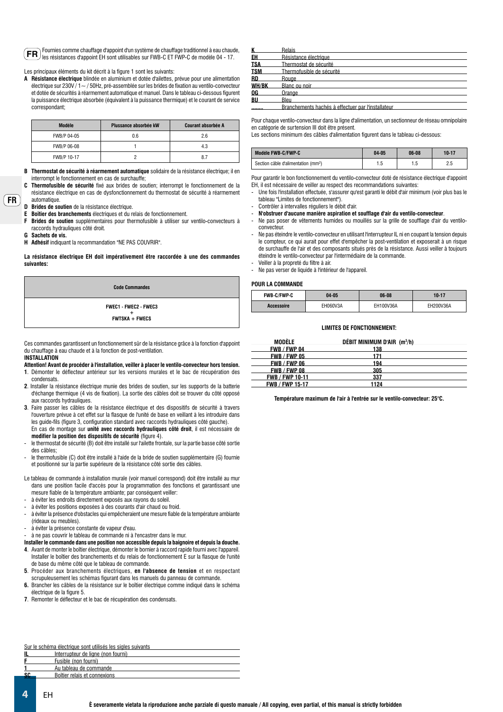

Fournies comme chauffage d'appoint d'un système de chauffage traditionnel à eau chaude, les résistances d'appoint EH sont utilisables sur FWB-C ET FWP-C de modèle 04 - 17. **FR**

Les principaux éléments du kit décrit à la figure 1 sont les suivants:

**A Résistance électrique** blindée en aluminium et dotée d'ailettes, prévue pour une alimentation électrique sur  $230V/1 \sim 750$ Hz, pré-assemblée sur les brides de fixation au ventilo-convecteur et dotée de sécurités à réarmement automatique et manuel. Dans le tableau ci-dessous figurent la puissance électrique absorbée (équivalent à la puissance thermique) et le courant de service correspondant;

| <b>Modéle</b> | Plussance absorbée kW | Courant absorbée A |
|---------------|-----------------------|--------------------|
| FWB/P 04-05   | 0.6                   | 2.6                |
| FWB/P 06-08   |                       | 4.3                |
| FWB/P 10-17   |                       | 8.7                |

- **B Thermostat de sécurité à réarmement automatique** solidaire de la résistance électrique; il en interrompt le fonctionnement en cas de surchauffe;
- **C Thermofusible de sécurité** fixé aux brides de soutien; interrompt le fonctionnement de la résistance électrique en cas de dysfonctionnement du thermostat de sécurité à réarmement automatique.
- **D Brides de soutien** de la résistance électrique.
- **E Boîtier des branchements** électriques et du relais de fonctionnement.
- **F Brides de soutien** supplémentaires pour thermofusible à utiliser sur ventilo-convecteurs à raccords hydrauliques côté droit.
- **G Sachets de vis.**

**FR**

**H Adhésif** indiquant la recommandation "NE PAS COUVRIR".

#### **La résistance électrique EH doit impérativement être raccordée à une des commandes suivantes:**

| <b>Code Commandes</b> |  |
|-----------------------|--|
| FWEC1 - FWEC2 - FWEC3 |  |
| <b>FWTSKA + FWECS</b> |  |
|                       |  |

Ces commandes garantissent un fonctionnement sûr de la résistance grâce à la fonction d'appoint du chauffage à eau chaude et à la fonction de post-ventilation. **INSTALLATION**

#### **Attention! Avant de procéder à l'installation, veiller à placer le ventilo-convecteur hors tension.**

- **1**. Démonter le déflecteur antérieur sur les versions murales et le bac de récupération des condensats.
- **2**. Installer la résistance électrique munie des brides de soutien, sur les supports de la batterie d'échange thermique (4 vis de fixation). La sortie des câbles doit se trouver du côté opposé aux raccords hydrauliques.
- **3**. Faire passer les câbles de la résistance électrique et des dispositifs de sécurité à travers l'ouverture prévue à cet effet sur la flasque de l'unité de base en veillant à les introduire dans les guide-fils (figure 3, configuration standard avec raccords hydrauliques côté gauche). En cas de montage sur **unité avec raccords hydrauliques côté droit**, il est nécessaire de
- **modifier la position des dispositifs de sécurité** (figure 4). le thermostat de sécurité (B) doit être installé sur l'ailette frontale, sur la partie basse côté sortie des câbles;
- le thermofusible (C) doit être installé à l'aide de la bride de soutien supplémentaire (G) fournie et positionné sur la partie supérieure de la résistance côté sortie des câbles.
- Le tableau de commande à installation murale (voir manuel correspond) doit être installé au mur dans une position facile d'accès pour la programmation des fonctions et garantissant une mesure fiable de la température ambiante; par conséquent veiller:
- à éviter les endroits directement exposés aux rayons du soleil.
- à éviter les positions exposées à des courants d'air chaud ou froid.
- à éviter la présence d'obstacles qui empêcheraient une mesure fiable de la température ambiante (rideaux ou meubles).
- à éviter la présence constante de vapeur d'eau.
- à ne pas couvrir le tableau de commande ni à l'encastrer dans le mur.
- **Installer le commande dans une position non accessible depuis la baignoire et depuis la douche.**
- **4**. Avant de monter le boîtier électrique, démonter le bornier à raccord rapide fourni avec l'appareil. Installer le boîtier des branchements et du relais de fonctionnement E sur la flasque de l'unité de base du même côté que le tableau de commande.
- **5**. Procéder aux branchements électriques, **en l'absence de tension** et en respectant scrupuleusement les schémas figurant dans les manuels du panneau de commande.
- **6.** Brancher les câbles de la résistance sur le boîtier électrique comme indiqué dans le schéma électrique de la figure 5.
- **7**. Remonter le déflecteur et le bac de récupération des condensats.

| ĸ          | Relais                                             |
|------------|----------------------------------------------------|
| EH         | Résistance électrique                              |
| <b>TSA</b> | Thermostat de sécurité                             |
| <b>TSM</b> | Thermofusible de sécurité                          |
| RD         | Rouge                                              |
| WH/BK      | Blanc ou noir                                      |
| OG.        | Orange                                             |
| BU         | Bleu                                               |
| ********   | Branchements hachés à effectuer par l'installateur |

Pour chaque ventilo-convecteur dans la ligne d'alimentation, un sectionneur de réseau omnipolaire en catégorie de surtension III doit être présent.

Les sections minimum des câbles d'alimentation figurent dans le tableau ci-dessous:

| Modéle FWB-C/FWP-C                              | 04-05 | $06-08$ | 10-17 |
|-------------------------------------------------|-------|---------|-------|
| Section câble d'alimentation (mm <sup>2</sup> ) |       |         |       |

Pour garantir le bon fonctionnement du ventilo-convecteur doté de résistance électrique d'appoint EH, il est nécessaire de veiller au respect des recommandations suivantes:

- Une fois l'installation effectuée, s'assurer qu'est garanti le débit d'air minimum (voir plus bas le tableau "Limites de fonctionnement").
- Contrôler à intervalles réguliers le débit d'air.
- **N'obstruer d'aucune manière aspiration et soufflage d'air du ventilo-convecteur**.
- Ne pas poser de vêtements humides ou mouillés sur la grille de soufflage d'air du ventiloconvecteur.
- Ne pas éteindre le ventilo-convecteur en utilisant l'interrupteur IL ni en coupant la tension depuis le compteur, ce qui aurait pour effet d'empêcher la post-ventilation et exposerait à un risque de surchauffe de l'air et des composants situés près de la résistance. Aussi veiller à toujours éteindre le ventilo-convecteur par l'intermédiaire de la commande.
- Veiller à la propreté du filtre à air.
- Ne pas verser de liquide à l'intérieur de l'appareil

#### **POUR LA COMMANDE**

| <b>FWB-C/FWP-C</b> | 04-05    | 06-08     | $10 - 17$ |
|--------------------|----------|-----------|-----------|
| <b>Accessoire</b>  | EH060V3A | EH100V36A | EH200V36A |

#### **LIMITES DE FONCTIONNEMENT:**

| MODÈLE                 | DÉBIT MINIMUM D'AIR (m <sup>3</sup> /h) |  |
|------------------------|-----------------------------------------|--|
| <b>FWB / FWP 04</b>    | 138                                     |  |
| <b>FWB / FWP 05</b>    | 171                                     |  |
| <b>FWB / FWP 06</b>    | 194                                     |  |
| <b>FWB / FWP 08</b>    | 305                                     |  |
| <b>FWB/FWP10-11</b>    | 337                                     |  |
| <b>FWB / FWP 15-17</b> | 1124                                    |  |

**Température maximum de l'air à l'entrée sur le ventilo-convecteur: 25°C.**

|     | Sur le schéma électrique sont utilisés les sigles suivants |
|-----|------------------------------------------------------------|
|     | Interrupteur de ligne (non fourni)                         |
|     | Fusible (non fourni)                                       |
|     | Au tableau de commande                                     |
| -sc | Boîtier relais et connexions                               |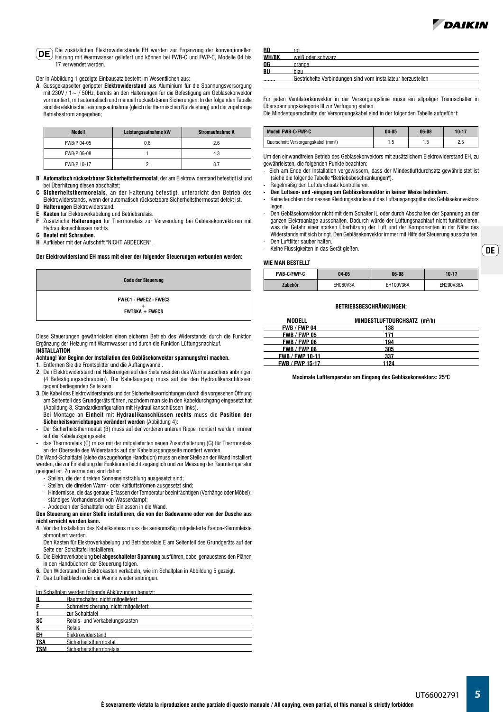

**DE**



Die zusätzlichen Elektrowiderstände EH werden zur Ergänzung der konventionellen **DE** Die Zusakzlichen Elektrowiderstande Err werden zur Erganzung der Konventionenen<br>Heizung mit Warmwasser geliefert und können bei FWB-C und FWP-C, Modelle 04 bis 17 verwendet werden.

Der in Abbildung 1 gezeigte Einbausatz besteht im Wesentlichen aus:

**A** Gussgekapselter gerippter **Elektrowiderstand** aus Aluminium für die Spannungsversorgung mit 230V / 1 $\sim$  / 50Hz, bereits an den Halterungen für die Befestigung am Gebläsekonvektor vormontiert, mit automatisch und manuell rücksetzbaren Sicherungen. In der folgenden Tabelle sind die elektrische Leistungsaufnahme (gleich der thermischen Nutzleistung) und der zugehörige Betriebsstrom angegeben:

| <b>Modell</b> | Leistungsaufnahme kW | Stromaufnahme A |
|---------------|----------------------|-----------------|
| FWB/P 04-05   | 0.6                  | 2.6             |
| FWB/P 06-08   |                      | 4.3             |
| FWB/P 10-17   |                      | 8.7             |

- **B Automatisch rücksetzbarer Sicherheitsthermostat**, der am Elektrowiderstand befestigt ist und bei Überhitzung diesen abschaltet;
- **C Sicherheitsthermorelais**, an der Halterung befestigt, unterbricht den Betrieb des Elektrowiderstands, wenn der automatisch rücksetzbare Sicherheitsthermostat defekt ist.
- **D Halterungen Elektrowiderstand**.
- **E Kasten** für Elektroverkabelung und Betriebsrelais.<br>**E** Zusätzliche Halterungen für Thermorelais zur
- **F** Zusätzliche **Halterungen** für Thermorelais zur Verwendung bei Gebläsekonvektoren mit Hydraulikanschlüssen rechts.
- **G Beutel mit Schrauben.**
- **H** Aufkleber mit der Aufschrift "NICHT ABDECKEN".

#### **Der Elektrowiderstand EH muss mit einer der folgender Steuerungen verbunden werden:**

| <b>Code der Steuerung</b>    |  |
|------------------------------|--|
| <b>FWEC1 - FWEC2 - FWEC3</b> |  |
| <b>FWTSKA + FWECS</b>        |  |

Diese Steuerungen gewährleisten einen sicheren Betrieb des Widerstands durch die Funktion Ergänzung der Heizung mit Warmwasser und durch die Funktion Lüftungsnachlauf. **INSTALLATION**

#### **Achtung! Vor Beginn der Installation den Gebläsekonvektor spannungsfrei machen.**

**1**. Entfernen Sie die Frontsplitter und die Auffangwanne .

- **2**. Den Elektrowiderstand mit Halterungen auf den Seitenwänden des Wärmetauschers anbringen (4 Befestigungsschrauben). Der Kabelausgang muss auf der den Hydraulikanschlüssen gegenüberliegenden Seite sein.
- **3**. Die Kabel des Elektrowiderstands und der Sicherheitsvorrichtungen durch die vorgesehen Öffnung am Seitenteil des Grundgeräts führen, nachdem man sie in den Kabeldurchgang eingesetzt hat (Abbildung 3, Standardkonfiguration mit Hydraulikanschlüssen links).
- Bei Montage an **Einheit** mit **Hydraulikanschlüssen rechts** muss die **Position der Sicherheitsvorrichtungen verändert werden** (Abbildung 4):
- Der Sicherheitsthermostat (B) muss auf der vorderen unteren Rippe montiert werden, immer auf der Kabelausgangsseite;
- das Thermorelais (C) muss mit der mitgelieferten neuen Zusatzhalterung (G) für Thermorelais an der Oberseite des Widerstands auf der Kabelausgangsseite montiert werden.

Die Wand-Schalttafel (siehe das zugehörige Handbuch) muss an einer Stelle an der Wand installiert werden, die zur Einstellung der Funktionen leicht zugänglich und zur Messung der Raumtemperatur geeignet ist. Zu vermeiden sind daher:

- Stellen, die der direkten Sonneneinstrahlung ausgesetzt sind;
- Stellen, die direkten Warm- oder Kaltluftströmen ausgesetzt sind;
- Hindernisse, die das genaue Erfassen der Temperatur beeinträchtigen (Vorhänge oder Möbel); ständiges Vorhandensein von Wasserdampf;
- Abdecken der Schalttafel oder Einlassen in die Wand.

**Den Steuerung an einer Stelle installieren, die von der Badewanne oder von der Dusche aus nicht erreicht werden kann.**

**4**. Vor der Installation des Kabelkastens muss die serienmäßig mitgelieferte Faston-Klemmleiste abmontiert werden.

Den Kasten für Elektroverkabelung und Betriebsrelais E am Seitenteil des Grundgeräts auf der Seite der Schalttafel installieren.

- **5**. Die Elektroverkabelung **bei abgeschalteter Spannung** ausführen, dabei genauestens den Plänen in den Handbüchern der Steuerung folgen.
- **6.** Den Widerstand im Elektrokasten verkabeln, wie im Schaltplan in Abbildung 5 gezeigt.

**7**. Das Luftleitblech oder die Wanne wieder anbringen.

| -RD   |                                                              |
|-------|--------------------------------------------------------------|
| WH/BK | weiß oder schwarz                                            |
| 0G    | orange                                                       |
| BL    | blau                                                         |
|       | Gestrichelte Verbindungen sind vom Installateur herzustellen |

Für jeden Ventilatorkonvektor in der Versorgungslinie muss ein allpoliger Trennschalter in Überspannungskategorie III zur Verfügung stehen.

Die Mindestquerschnitte der Versorgungskabel sind in der folgenden Tabelle aufgeführt:

| <b>Modell FWB-C/FWP-C</b>                       | 04-05 | 06-08 | $10 - 17$ |
|-------------------------------------------------|-------|-------|-----------|
| Querschnitt Versorgungskabel (mm <sup>2</sup> ) |       | ن. ا  |           |

Um den einwandfreien Betrieb des Gebläsekonvektors mit zusätzlichem Elektrowiderstand EH, zu gewährleisten, die folgenden Punkte beachten:

- Sich am Ende der Installation vergewissern, dass der Mindestluftdurchsatz gewährleistet ist (siehe die folgende Tabelle "Betriebsbeschränkungen").
- Regelmäßig den Luftdurchsatz kontrollieren.
- **Den Luftaus- und -eingang am Gebläsekonvektor in keiner Weise behindern.**
- Keine feuchten oder nassen Kleidungsstücke auf das Luftausgangsgitter des Gebläsekonvektors legen
- Den Gebläsekonvektor nicht mit dem Schalter IL oder durch Abschalten der Spannung an der ganzen Elektroanlage ausschalten. Dadurch würde der Lüftungsnachlauf nicht funktionieren, was die Gefahr einer starken Überhitzung der Luft und der Komponenten in der Nähe des Widerstands mit sich bringt. Den Gebläsekonvektor immer mit Hilfe der Steuerung ausschalten. Den Luftfilter sauber halten.
- Keine Flüssigkeiten in das Gerät gießen.

#### **WIE MAN BESTELLT**

| <b>FWB-C/FWP-C</b> | 04-05    | 06-08     | 10-17     |
|--------------------|----------|-----------|-----------|
| Zubehör            | EH060V3A | EH100V36A | EH200V36A |

#### **BETRIEBSBESCHRÄNKUNGEN:**

| MODELL                 | MINDESTLUFTDURCHSATZ (m <sup>3</sup> /h) |  |
|------------------------|------------------------------------------|--|
| <b>FWB / FWP 04</b>    | 138                                      |  |
| <b>FWB / FWP 05</b>    | 171                                      |  |
| <b>FWB / FWP 06</b>    | 194                                      |  |
| <b>FWB / FWP 08</b>    | 305                                      |  |
| <b>FWB / FWP 10-11</b> | 337                                      |  |
| <b>FWB / FWP 15-17</b> | 1124                                     |  |

**Maximale Lufttemperatur am Eingang des Gebläsekonvektors: 25°C**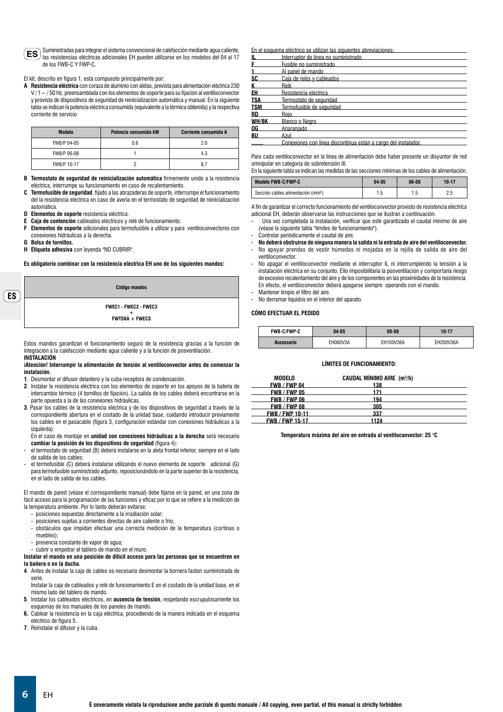| ۰.<br>. .<br>v |
|----------------|

Suministradas para integrar el sistema convencional de calefacción mediante agua caliente, las resistencias eléctricas adicionales EH pueden utilizarse en los modelos del 04 al 17 de los FWB-C Y FWP-C.

El kit, descrito en figura 1, está compuesto principalmente por:

**A Resistencia eléctrica** con coraza de aluminio con aletas, prevista para alimentación eléctrica 230  $V/1$  ~ / 50 Hz, preensamblada con los elementos de soporte para su fijación al ventiloconvector y provista de dispositivos de seguridad de reinicialización automática y manual. En la siguiente tabla se indican la potencia eléctrica consumida (equivalente a la térmica obtenida) y la respectiva corriente de servicio

| <b>Modelo</b> | Potencia consumida kW | Corriente consumida A |
|---------------|-----------------------|-----------------------|
| FWB/P 04-05   | 0.6                   | 2.6                   |
| FWB/P 06-08   |                       | 4.3                   |
| FWB/P 10-17   |                       | 8.7                   |

- **B Termostato de seguridad de reinicialización automática** firmemente unido a la resistencia eléctrica, interrumpe su funcionamiento en caso de recalentamiento.
- **C Termofusible de seguridad**, fijado a las abrazaderas de soporte, interrumpe el funcionamiento del la resistencia eléctrica en caso de avería en el termostato de seguridad de reinicialización automática.
- **D Elementos de soporte** resistencia eléctrica.
- **E Caja de contención** cableados eléctricos y relé de funcionamiento.
- **F Elementos de soporte** adicionales para termofusible a utilizar y para ventiloconvectores con conexiones hidráulicas a la derecha.
- **G Bolsa de tornillos.**
- **H Etiqueta adhesiva** con leyenda "NO CUBRIR".

**Es obligatorio combinar con la resistencia eléctrica EH uno de los siguientes mandos:**

**ES**

**CÓdigo mandos FWEC1 - FWEC2 - FWEC3 + FWTSKA + FWECS**

Estos mandos garantizan el funcionamiento seguro de la resistencia gracias a la función de integración a la calefacción mediante agua caliente y a la función de posventilación. **INSTALACIÓN**

#### **¡Atención! Interrumpir la alimentación de tensión al ventiloconvector antes de comenzar la instalación.**

- **1**. Desmontar el difusor delantero y la cuba receptora de condensación.
- **2**. Instalar la resistencia eléctrica con los elementos de soporte en los apoyos de la batería de intercambio térmico (4 tornillos de fijación). La salida de los cables deberá encontrarse en la parte opuesta a la de las conexiones hidráulicas.
- **3**. Pasar los cables de la resistencia eléctrica y de los dispositivos de seguridad a través de la correspondiente abertura en el costado de la unidad base, cuidando introducir previamente los cables en el pasacable (figura 3, configuración estándar con conexiones hidráulicas a la izquierda).

En el caso de montaje en **unidad con conexiones hidráulicas a la derecha** será necesario **cambiar la posición de los dispositivos de seguridad** (figura 4):

- el termostato de seguridad (B) deberá instalarse en la aleta frontal inferior, siempre en el lado de salida de los cables;
- el termofusible (C) deberá instalarse utilizando el nuevo elemento de soporte adicional (G) para termofusible suministrado adjunto, reposicionándolo en la parte superior de la resistencia, en el lado de salida de los cables.

El mando de pared (véase el correspondiente manual) debe fijarse en la pared, en una zona de fácil acceso para la programación de las funciones y eficaz por lo que se refiere a la medición de la temperatura ambiente. Por lo tanto deberán evitarse:

- posiciones expuestas directamente a la irradiación solar;
- posiciones sujetas a corrientes directas de aire caliente o frío;
- obstáculos que impidan efectuar una correcta medición de la temperatura (cortinas o muebles);
- presencia constante de vapor de agua;
- cubrir o empotrar el tablero de mando en el muro.

**Instalar el mando en una posición de difícil acceso para las personas que se encuentren en la bañera o en la ducha.**

**4**. Antes de instalar la caja de cables es necesario desmontar la bornera faston suministrada de serie. Instalar la caja de cableados y relé de funcionamiento E en el costado de la unidad base, en el

mismo lado del tablero de mando.

- **5**. Instalar los cableados eléctricos, en **ausencia de tensión**, respetando escrupulosamente los esquemas de los manuales de los paneles de mando.
- **6.** Cablear la resistencia en la caja eléctrica, procediendo de la manera indicada en el esquema eléctrico de figura 5.
- **7**. Reinstalar el difusor y la cuba.

En el esquema eléctrico se utilizan las siguientes abreviaciones:

| IL.   | Interruptor de línea no suministrado                           |
|-------|----------------------------------------------------------------|
| F.    | Fusible no suministrado                                        |
| 1.    | Al panel de mando                                              |
| SC    | Caia de relés y cableados                                      |
| ĸ     | Relé                                                           |
| EH    | Resistencia eléctrica                                          |
| TSA   | Termostato de seguridad                                        |
| TSM.  | Termofusible de seguridad                                      |
| RD    | Roio                                                           |
| WH/BK | Blanco o Negro                                                 |
| OG.   | Anaraniado                                                     |
| BU    | Azul                                                           |
|       | Conexiones con línea discontinua están a cargo del instalador. |

Para cada ventiloconvector en la línea de alimentación debe haber presente un disyuntor de red omnipolar en categoría de sobretensión III.

| . En la siguiente tabla se indican las medidas de las secciones mínimas de los cables de alimentación |           |       |       |
|-------------------------------------------------------------------------------------------------------|-----------|-------|-------|
| Modéle FWB-C/FWP-C                                                                                    | $04 - 05$ | 06-08 | 10-17 |
| Sección cables alimentación (mm <sup>2</sup> )                                                        | 1.5       | 1.5   | 2.5   |

A fin de garantizar el correcto funcionamiento del ventiloconvector provisto de resistencia eléctrica adicional EH, deberán observarse las instrucciones que se ilustran a continuación.

- Una vez completada la instalación, verificar que esté garantizado el caudal mínimo de aire (véase la siguiente tabla "límites de funcionamiento").
- Controlar periódicamente el caudal de aire.
- **No deberá obstruirse de ninguna manera la salida ni la entrada de aire del ventiloconvector.** - No apoyar prendas de vestir húmedas ni mojadas en la rejilla de salida de aire del
- ventiloconvector. - No apagar el ventiloconvector mediante el interruptor IL ni interrumpiendo la tensión a la instalación eléctrica en su conjunto. Ello imposibilitaría la posventilación y comportaría riesgo de excesivo recalentamiento del aire y de los componentes en las proximidades de la resistencia. En efecto, el ventiloconvector deberá apagarse siempre operando con el mando.
- Mantener limpio el filtro del aire.
- No derramar líquidos en el interior del aparato.

#### **CÓMO EFECTUAR EL PEDIDO**

| <b>FWB-C/FWP-C</b> | 04-05    | 06-08     | 10-17     |
|--------------------|----------|-----------|-----------|
| <b>Accessorio</b>  | EH060V3A | EH100V36A | EH200V36A |

#### **LÍMITES DE FUNCIONAMIENTO:**

| MODELO                 | CAUDAL MÍNIMO AIRE (m3/h) |  |
|------------------------|---------------------------|--|
| <b>FWB / FWP 04</b>    | 138                       |  |
| <b>FWB/FWP05</b>       | 171                       |  |
| <b>FWB / FWP 06</b>    | 194                       |  |
| <b>FWB / FWP 08</b>    | 305                       |  |
| <b>FWB / FWP 10-11</b> | 337                       |  |
| <b>FWB / FWP 15-17</b> | 1124                      |  |

#### **Temperatura máxima del aire en entrada al ventiloconvector: 25 °C**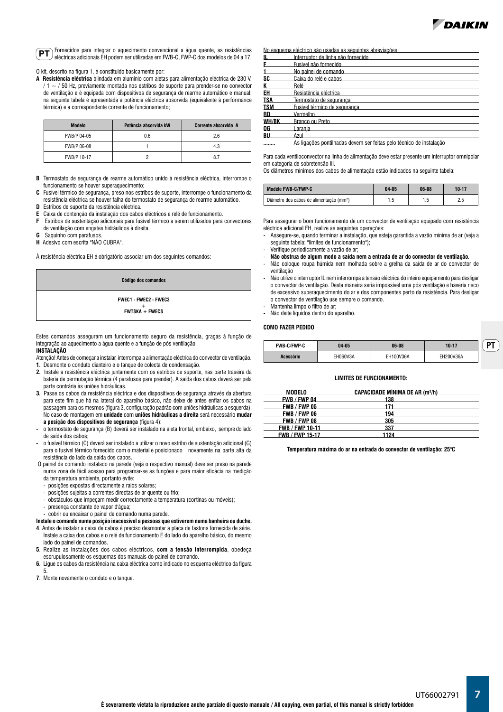

**PT**) Fornecidos para integrar o aquecimento convencional a água quente, as resistências<br>**PT**) eléctricas adicionais EH podem ser utilizadas em EWB-C. EWP-C dos modelos de 04 a 17 eléctricas adicionais EH podem ser utilizadas em FWB-C, FWP-C dos modelos de 04 a 17.

O kit, descrito na figura 1, é constituído basicamente por:

**A Resistência eléctrica** blindada em alumínio com aletas para alimentação eléctrica de 230 V. /  $1 \sim$  / 50 Hz, previamente montada nos estribos de suporte para prender-se no convector de ventilação e é equipada com dispositivos de segurança de rearme automático e manual: na seguinte tabela é apresentada a potência eléctrica absorvida (equivalente à performance térmica) e a correspondente corrente de funcionamento;

| <b>Modelo</b> | Potência absorvida kW | Corrente absorvida A |
|---------------|-----------------------|----------------------|
| FWB/P 04-05   | 0.6                   | 2.6                  |
| FWB/P 06-08   |                       | 4.3                  |
| FWB/P 10-17   |                       | 8.7                  |

- **B** Termostato de segurança de rearme automático unido à resistência eléctrica, interrompe o funcionamento se houver superaquecimento;
- **C** Fusível térmico de segurança, preso nos estribos de suporte, interrompe o funcionamento da resistência eléctrica se houver falha do termostato de segurança de rearme automático.
- **D** Estribos de suporte da resistência eléctrica.
- **E** Caixa de contenção da instalação dos cabos eléctricos e relé de funcionamento.
- **F** Estribos de sustentação adicionais para fusível térmico a serem utilizados para convectores de ventilação com engates hidráulicos à direita.
- **G** Saquinho com parafusos.
- **H** Adesivo com escrita "NÃO CUBRA".

À resistência eléctrica EH é obrigatório associar um dos seguintes comandos:

#### **Código dos comandos**

**FWEC1 - FWEC2 - FWEC3**

**+ FWTSKA + FWECS**

Estes comandos asseguram um funcionamento seguro da resistência, graças à função de integração ao aquecimento a água quente e a função de pós ventilação

#### **INSTALAÇÃO**

Atenção! Antes de começar a instalar, interrompa a alimentação eléctrica do convector de ventilação. **1.** Desmonte o conduto dianteiro e o tanque de colecta de condensação.

- **2.** Instale a resistência eléctrica juntamente com os estribos de suporte, nas parte traseira da bateria de permutação térmica (4 parafusos para prender). A saída dos cabos deverá ser pela parte contrária às uniões hidráulicas.
- **3.** Passe os cabos da resistência eléctrica e dos dispositivos de segurança através da abertura para este fim que há na lateral do aparelho básico, não deixe de antes enfiar os cabos na passagem para os mesmos (figura 3, configuração padrão com uniões hidráulicas a esquerda). No caso de montagem em **unidade** com **uniões hidráulicas a direita** será necessário **mudar a posição dos dispositivos de segurança** (figura 4):
- o termostato de segurança (B) deverá ser instalado na aleta frontal, embaixo, sempre do lado de saída dos cabos;
- o fusível térmico (C) deverá ser instalado a utilizar o novo estribo de sustentação adicional (G) para o fusível térmico fornecido com o material e posicionado novamente na parte alta da resistência do lado da saída dos cabos.
- O painel de comando instalado na parede (veja o respectivo manual) deve ser preso na parede numa zona de fácil acesso para programar-se as funções e para maior eficácia na medição da temperatura ambiente, portanto evite:
	- posições expostas directamente a raios solares;
	- posições sujeitas a correntes directas de ar quente ou frio;
	- obstáculos que impeçam medir correctamente a temperatura (cortinas ou móveis);
	- presença constante de vapor d'água;
	- cobrir ou encaixar o painel de comando numa parede.

#### **Instale o comando numa posição inacessível a pessoas que estiverem numa banheira ou duche.**

- **4**. Antes de instalar a caixa de cabos é preciso desmontar a placa de fastons fornecida de série. Instale a caixa dos cabos e o relé de funcionamento E do lado do aparelho básico, do mesmo lado do painel de comandos.
- **5**. Realize as instalações dos cabos eléctricos, **com a tensão interrompida**, obedeça escrupulosamente os esquemas dos manuais do painel de comando.
- **6.** Ligue os cabos da resistência na caixa eléctrica como indicado no esquema eléctrico da figura 5.
- **7**. Monte novamente o conduto e o tanque.
- No esquema eléctrico são usadas as seguintes abreviações:
- **IL** Interruptor de linha não fornecido **F** Fusível não fornecido **1** No painel de comando<br>**SC** Caixa do relé e cabos **SC** Caixa do relé e cabos **K** Relé<br>FH Resis **EH** Resistência eléctrica **TSA** Termostato de segurança<br> **TSM** Fusível térmico de segura Fusível térmico de segurança **RD** Vermelho<br>**WH/BK** Branco ou **Branco ou Preto OG** Laranja **BU** Azul **........** As ligações pontilhadas devem ser feitas pelo técnico de instalação

Para cada ventiloconvector na linha de alimentação deve estar presente um interruptor omnipolar em categoria de sobretensão III.

Os diâmetros mínimos dos cabos de alimentação estão indicados na seguinte tabela:

| Modéle FWB-C/FWP-C                                   | 04-05 | 06-08 | 10-17 |
|------------------------------------------------------|-------|-------|-------|
| Diâmetro dos cabos de alimentação (mm <sup>2</sup> ) |       |       |       |

Para assegurar o bom funcionamento de um convector de ventilação equipado com resistência eléctrica adicional EH, realize as seguintes operações:

- Assegure-se, quando terminar a instalação, que esteja garantida a vazão mínima de ar (veja a seguinte tabela: "limites de funcionamento");
- Verifique periodicamente a vazão de ar;
- **Não obstrua de algum modo a saída nem a entrada de ar do convector de ventilação**.
- Não coloque roupa húmida nem molhada sobre a grelha da saída de ar do convector de ventilação
- Não utilize o interruptor IL nem interrompa a tensão eléctrica do inteiro equipamento para desligar o convector de ventilação. Desta maneira seria impossível uma pós ventilação e haveria risco de excessivo superaquecimento do ar e dos componentes perto da resistência. Para desligar o convector de ventilação use sempre o comando.
- Mantenha limpo o filtro de ar;
- Não deite líquidos dentro do aparelho.

#### **COMO FAZER PEDIDO**

| <b>FWB-C/FWP-C</b> | 04-05    | 06-08     | $10 - 17$ |  |
|--------------------|----------|-----------|-----------|--|
| Acessório          | EH060V3A | EH100V36A | EH200V36A |  |

#### **LIMITES DE FUNCIONAMENTO:**

| MODELO                 | <b>CAPACIDADE MÍNIMA DE AR (m3/h)</b> |  |
|------------------------|---------------------------------------|--|
| <b>FWB / FWP 04</b>    | 138                                   |  |
| <b>FWB / FWP 05</b>    | 171                                   |  |
| <b>FWB / FWP 06</b>    | 194                                   |  |
| <b>FWB / FWP 08</b>    | 305                                   |  |
| <b>FWB/FWP10-11</b>    | 337                                   |  |
| <b>FWB / FWP 15-17</b> | 1124                                  |  |

**Temperatura máxima do ar na entrada do convector de ventilação: 25°C**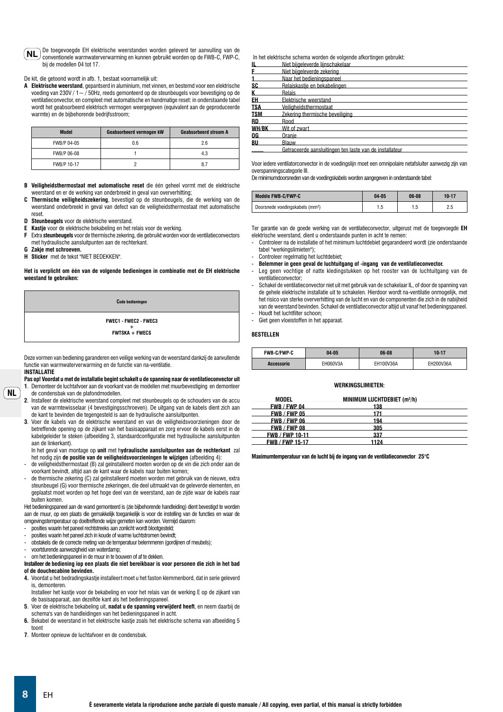De toegevoegde EH elektrische weerstanden worden geleverd ter aanvulling van de conventionele warmwaterverwarming en kunnen gebruikt worden op de FWB-C, FWP-C, bij de modellen 04 tot 17.

De kit, die getoond wordt in afb. 1, bestaat voornamelijk uit:

**A Elektrische weerstand**, gepantserd in aluminium, met vinnen, en bestemd voor een elektrische voeding van 230V / 1~ / 50Hz, reeds gemonteerd op de steunbeugels voor bevestiging op de ventilatieconvector, en compleet met automatische en handmatige reset: in onderstaande tabel wordt het geabsorbeerd elektrisch vermogen weergegeven (equivalent aan de geproduceerde warmte) en de bijbehorende bedrijfsstroom;

| <b>Model</b> | <b>Geabsorbeerd vermogen kW</b> | <b>Geabsorbeerd stroom A</b> |
|--------------|---------------------------------|------------------------------|
| FWB/P 04-05  | 0.6                             | 2.6                          |
| FWB/P 06-08  |                                 | 4.3                          |
| FWB/P 10-17  |                                 | 8.7                          |

- **B Veiligheidsthermostaat met automatische reset** die één geheel vormt met de elektrische weerstand en er de werking van onderbreekt in geval van oververhitting;
- **C Thermische veiligheidszekering**, bevestigd op de steunbeugels, die de werking van de weerstand onderbreekt in geval van defect van de veiligheidsthermostaat met automatische
- reset. **D Steunbeugels** voor de elektrische weerstand.
- **E Kastje** voor de elektrische bekabeling en het relais voor de werking.<br>**E** Fxtra steunheuriels voor de thermische zekering die gebruikt worden vi
- **F** Extra **steunbeugels** voor de thermische zekering, die gebruikt worden voor de ventilatieconvectors met hydraulische aansluitpunten aan de rechterkant.
- **G Zakje met schroeven.**

 $(ML)$ 

**H Sticker** met de tekst "NIET BEDEKKEN".

#### **Het is verplicht om één van de volgende bedieningen in combinatie met de EH elektrische weestand te gebruiken:**

**Code bedieningen FWEC1 - FWEC2 - FWEC3 + FWTSKA + FWECS**

Deze vormen van bediening garanderen een veilige werking van de weerstand dankzij de aanvullende functie van warmwaterverwarming en de functie van na-ventilatie. **INSTALLATIE**

**Pas op! Voordat u met de installatie begint schakelt u de spanning naar de ventilatieconvector uit 1**. Demonteer de luchtafvoer aan de voorkant van de modellen met muurbevestiging en demonteer de condensbak van de plafondmodellen.

- **2**. Installeer de elektrische weerstand compleet met steunbeugels op de schouders van de accu van de warmtewisselaar (4 bevestigingsschroeven). De uitgang van de kabels dient zich aan de kant te bevinden die tegengesteld is aan de hydraulische aansluitpunten.
- **3**. Voer de kabels van de elektrische weerstand en van de veiligheidsvoorzieningen door de betreffende opening op de zijkant van het basisapparaat en zorg ervoor de kabels eerst in de kabelgeleider te steken (afbeelding 3, standaardconfiguratie met hydraulische aansluitpunten aan de linkerkant).

In het geval van montage op **unit** met h**ydraulische aansluitpunten aan de rechterkant** zal het nodig zijn **de positie van de veiligheidsvoorzieningen te wijzigen** (afbeelding 4):

- de veiligheidsthermostaat (B) zal geïnstalleerd moeten worden op de vin die zich onder aan de voorkant bevindt, altijd aan de kant waar de kabels naar buiten komen;
- de thermische zekering (C) zal geïnstalleerd moeten worden met gebruik van de nieuwe, extra steunbeugel (G) voor thermische zekeringen, die deel uitmaakt van de geleverde elementen, en geplaatst moet worden op het hoge deel van de weerstand, aan de zijde waar de kabels naar buiten komen.

Het bedieningspaneel aan de wand gemonteerd is (zie bijbehorende handleiding) dient bevestigd te worden aan de muur, op een plaats die gemakkelijk toegankelijk is voor de instelling van de functies en waar de omgevingstemperatuur op doeltreffende wijze gemeten kan worden. Vermijd daarom:

- posities waarin het paneel rechtstreeks aan zonlicht wordt blootgesteld;
- posities waarin het paneel zich in koude of warme luchtstromen bevindt;
- obstakels die de correcte meting van de temperatuur belemmeren (gordijnen of meubels);
- voortdurende aanwezigheid van waterdamp;
- om het bedieningspaneel in de muur in te bouwen of af te dekken.

#### **Installeer de bediening iop een plaats die niet bereikbaar is voor personen die zich in het bad of de douchecabine bevinden.**

- **4.** Voordat u het bedradingskastje installeert moet u het faston klemmenbord, dat in serie geleverd is, demonteren.
- Installeer het kastje voor de bekabeling en voor het relais van de werking E op de zijkant van de basisapparaat, aan dezelfde kant als het bedieningspaneel.
- **5**. Voer de elektrische bekabeling uit, **nadat u de spanning verwijderd heeft**, en neem daarbij de schema's van de handleidingen van het bedieningspaneel in acht.
- **6.** Bekabel de weerstand in het elektrische kastje zoals het elektrische schema van afbeelding 5 toont
- **7**. Monteer opnieuw de luchtafvoer en de condensbak.

In het elektrische schema worden de volgende afkortingen gebruikt:

| IL         | Niet bijgeleverde lijnschakelaar                        |
|------------|---------------------------------------------------------|
| F          | Niet bijgeleverde zekering                              |
| 1          | Naar het bedieningspaneel                               |
| SC         | Relaiskastie en bekabelingen                            |
| K          | Relais                                                  |
| EH         | Elektrische weerstand                                   |
| <b>TSA</b> | Veiligheidsthermostaat                                  |
| <b>TSM</b> | Zekering thermische beveiliging                         |
| RD         | Rood                                                    |
| WH/BK      | Wit of zwart                                            |
| 0G         | Oranie                                                  |
| BU         | Blauw                                                   |
|            | Getraceerde aansluitingen ten laste van de installateur |
|            |                                                         |

Voor iedere ventilatorconvector in de voedingslijn moet een omnipolaire netafsluiter aanwezig zijn van overspanningscategorie III.

De minimumdoorsneden van de voedingskabels worden aangegeven in onderstaande tabel:

| Modéle FWB-C/FWP-C                          | $04 - 05$ | 06-08 | 10-17 |
|---------------------------------------------|-----------|-------|-------|
| Doorsnede voedingskabels (mm <sup>2</sup> ) |           |       |       |

Ter garantie van de goede werking van de ventilatieconvector, uitgerust met de toegevoegde **EH** elektrische weerstand, dient u onderstaande punten in acht te nemen:

- Controleer na de installatie of het minimum luchtdebiet gegarandeerd wordt (zie onderstaande tabel "werkingslimieten");
- Controleer regelmatig het luchtdebiet;
- **Belemmer in geen geval de luchtuitgang of -ingang van de ventilatieconvector.**
- Leg geen vochtige of natte kledingstukken op het rooster van de luchtuitgang van de ventilatieconvector;
- Schakel de ventilatieconvector niet uit met gebruik van de schakelaar IL, of door de spanning van de gehele elektrische installatie uit te schakelen. Hierdoor wordt na-ventilatie onmogelijk, met het risico van sterke oververhitting van de lucht en van de componenten die zich in de nabijheid van de weerstand bevinden. Schakel de ventilatieconvector altijd uit vanaf het bedieningspaneel. Houdt het luchtfilter schoon;
- Giet geen vloeistoffen in het apparaat.

#### **BESTELLEN**

| <b>FWB-C/FWP-C</b> | 04-05    | 06-08     | $10 - 17$ |
|--------------------|----------|-----------|-----------|
| <b>Accessorio</b>  | FHO60V3A | EH100V36A | EH200V36A |

#### **WERKINGSLIMIETEN:**

| MODEL                  | MINIMUM LUCHTDEBIET (m <sup>3</sup> /h) |  |
|------------------------|-----------------------------------------|--|
| <b>FWB / FWP 04</b>    | 138                                     |  |
| <b>FWB / FWP 05</b>    | 171                                     |  |
| <b>FWB / FWP 06</b>    | 194                                     |  |
| <b>FWB / FWP 08</b>    | 305                                     |  |
| <b>FWB / FWP 10-11</b> | 337                                     |  |
| <b>FWB / FWP 15-17</b> | 1124                                    |  |

**Maximumtemperatuur van de lucht bij de ingang van de ventilatieconvector: 25°C**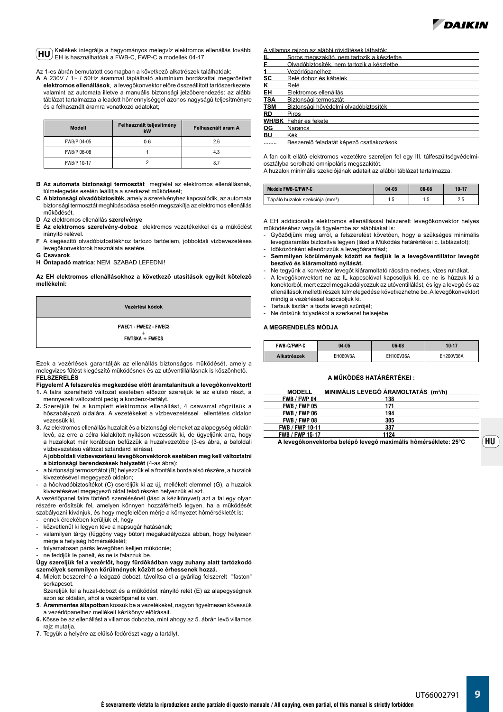

Kellékek integrálja a hagyományos melegvíz elektromos ellenállás további EH is használhatóak a FWB-C, FWP-C a modellek 04-17. **HU**

Az 1-es ábrán bemutatott csomagban a következô alkatrészek találhatóak:

**A** A 230V / 1~ / 50Hz árammal táplálható alumínium bordázattal megerôsített **elektromos ellenállások**, a levegôkonvektor elôre összeállított tartószerkezete, valamint az automata illetve a manuális biztonsági jelzôberendezés: az alábbi táblázat tartalmazza a leadott hômennyiséggel azonos nagyságú teljesítményre és a felhasznált áramra vonatkozó adatokat;

| <b>Modell</b> | Felhasznált teljesítmény<br>kW | Felhasznált áram A |
|---------------|--------------------------------|--------------------|
| FWB/P 04-05   | 0.6                            | 2.6                |
| FWB/P 06-08   |                                | 4.3                |
| FWB/P 10-17   |                                | 8.7                |

- **B Az automata biztonsági termosztát** megfelel az elektromos ellenállásnak, túlmelegedés esetén leállítja a szerkezet működését;
- **C A biztonsági olvadóbiztosíték**, amely a szerelvényhez kapcsolódik, az automata biztonsági termosztát meghibásodása esetén megszakítja az elektromos ellenállás működését.
- **D** Az elektromos ellenállás **szerelvénye**
- **E Az elektromos szerelvény-doboz** elektromos vezetékekkel és a működést irányító relével.
- **F** A kiegészítô olvadóbiztosítékhoz tartozó tartóelem, jobboldali vízbevezetéses levegôkonvektorok használata esetére.
- **G Csavarok**.
- **H Öntapadó matrica**: NEM SZABAD LEFEDNI!

#### **Az EH elektromos ellenállásokhoz a következô utasítások egyikét kötelezô mellékelni:**

**Vezérlési kódok FWEC1 - FWEC2 - FWEC3 + FWTSKA + FWECS**

Ezek a vezérlések garantálják az ellenállás biztonságos működését, amely a melegvizes fűtést kiegészítô működésnek és az utóventillállásnak is köszönhetô. **FELSZERELÉS**

- **Figyelem! A felszerelés megkezdése elôtt áramtalanítsuk a levegôkonvektort! 1.** A falra szerelhetô változat esetében elôször szereljük le az elülsô részt, a
- mennyezeti változatról pedig a kondenz-tartályt. **2.** Szereljük fel a komplett elektromos ellenállást, 4 csavarral rögzítsük a hôszabályozó oldalára. A vezetékeket a vízbevezetéssel ellentétes oldalon vezessük ki.
- **3.** Az elektromos ellenállás huzalait és a biztonsági elemeket az alapegység oldalán levô, az erre a célra kialakított nyíláson vezessük ki, de ügyeljünk arra, hogy a huzalokat már korábban befűzzük a huzalvezetôbe (3-es ábra, a baloldali vízbevezetésű változat sztandard leírása).

A **jobboldali vízbevezetésű levegőkonvektorok esetében meg kell változtatni a biztonsági berendezések helyzetét** (4-as ábra):

- a biztonsági termosztátot (B) helyezzük el a frontális borda alsó részére, a huzalok kivezetésével megegyezô oldalon;
- a hôolvadóbiztosítékot (C) cseréljük ki az új, mellékelt elemmel (G), a huzalok kivezetésével megegyezô oldal felsô részén helyezzük el azt.

A vezérlőpanel falra történő szerelésénél (lásd a kézikönyvet) azt a fal egy olyan részére erősítsük fel, amelyen könnyen hozzáférhetô legyen, ha a működését szabályozni kívánjuk, és hogy megfelelôen mérje a környezet hômérsékletét is:

- ennek érdekében kerüljük el, hogy
- közvetlenül ki legyen téve a napsugár hatásának;
- valamilyen tárgy (függöny vagy bútor) megakadályozza abban, hogy helyesen mérje a helyiség hômérsékletét;
- folyamatosan párás levegôben kelljen működnie;
- ne feddjük le panelt, és ne is falazzuk be.

**Úgy szereljük fel a vezérlőt, hogy fürdôkádban vagy zuhany alatt tartózkodó személyek semmilyen körülmények között se érhessenek hozzá.**

- **4**. Mielott beszerelné a leágazó dobozt, távolítsa el a gyárilag felszerelt "faston" sorkapcsot. Szereljük fel a huzal-dobozt és a működést irányító relét (E) az alapegységnek
- azon az oldalán, ahol a vezérlôpanel is van. **5**. **Árammentes állapotban** kössük be a vezetékeket, nagyon figyelmesen kövessük
- a vezérlőpanelhez mellékelt kézikönyv elôírásait. **6.** Kösse be az ellenállást a villamos dobozba, mint ahogy az 5. ábrán levő villamos
- rajz mutatja. **7**. Tegyük a helyére az elülsô fedôrészt vagy a tartályt.

#### A villamos rajzon az alábbi rövidítések láthatók:

**IL** Soros megszakító, nem tartozik a készletbe **F** Olvadóbiztosíték, nem tartozik a készletbe 1 Vezérlőpanelhez<br>**SC** Relé doboz és ka **SC** Relé doboz és kábelek **K** Relé<br>**EH** Flekt **EH Elektromos ellenállás<br><b>TSA** Biztonsági termosztát **TSA** Biztonsági termosztát<br>**TSM** Biztonsági hővédelmi **TSM** Biztonsági hővédelmi olvadóbiztosíték<br>**RD** Piros **RD** Piros **WH/BK** Fehér és fekete **OG** Narancs<br>**BU** Kék **BU** Kék **........** Beszerelő feladatát képező csatlakozások

A fan coilt ellátó elektromos vezetékre szereljen fel egy III. túlfeszültségvédelmiosztályba sorolható omnipoláris megszakítót.

A huzalok minimális szekciójának adatait az alábbi táblázat tartalmazza:

| Modéle FWB-C/FWP-C                          | 04-05 | 06-08 | 10-17     |
|---------------------------------------------|-------|-------|-----------|
| Tápálò huzalok szekciòja (mm <sup>2</sup> ) |       |       | າເ<br>ں ے |

A EH addicionális elektromos ellenállással felszerelt levegôkonvektor helyes működéséhez vegyük figyelembe az alábbiakat is:

- Gyôzôdjünk meg arról, a felszerelést követôen, hogy a szükséges minimális levegôáramlás biztosítva legyen (lásd a Működés határértékei c. táblázatot); - Idôközönként ellenôrizzük a levegôáramlást;
- **Semmilyen körülmények között se fedjük le a levegôventillátor levegôt beszívó és kiáramoltató nyílását.**
- Ne tegyünk a konvektor levegôt kiáramoltató rácsára nedves, vizes ruhákat.
- A levegôkonvektort ne az IL kapcsolóval kapcsoljuk ki, de ne is húzzuk ki a konektorból, mert ezzel megakadályozzuk az utóventillálást, és így a levegô és az ellenállások melletti részek túlmelegedése következhetne be. A levegôkonvektort mindig a vezérléssel kapcsoljuk ki.
- Tartsuk tisztán a tiszta levegô szűrôjét;
- Ne öntsünk folyadékot a szerkezet belsejébe.

### **A MEGRENDELÉS MÓDJA**

| <b>FWB-C/FWP-C</b> | 04-05    | 06-08     | 10-17     |
|--------------------|----------|-----------|-----------|
| Alkatrészek        | EH060V3A | EH100V36A | EH200V36A |

#### **A MŰKÖDÉS HATÁRÉRTÉKEI :**

| <b>MODELL</b>          | MINIMÁLIS LEVEGÔ ÁRAMOLTATÁS (m3/h) |  |
|------------------------|-------------------------------------|--|
| <b>FWB / FWP 04</b>    | 138                                 |  |
| <b>FWB / FWP 05</b>    | 171                                 |  |
| <b>FWB / FWP 06</b>    | 194                                 |  |
| <b>FWB / FWP 08</b>    | 305                                 |  |
| <b>FWB / FWP 10-11</b> | 337                                 |  |
| <b>FWB / FWP 15-17</b> | 1124                                |  |

**A levegôkonvektorba belépô levegô maximális hômérséklete: 25°C**

**HU**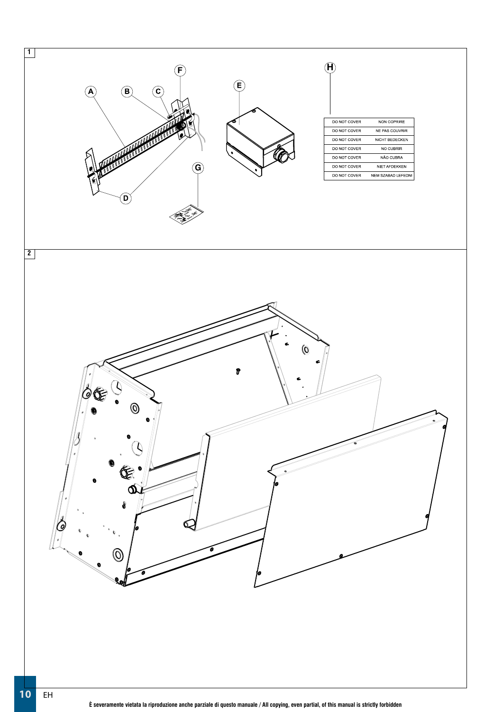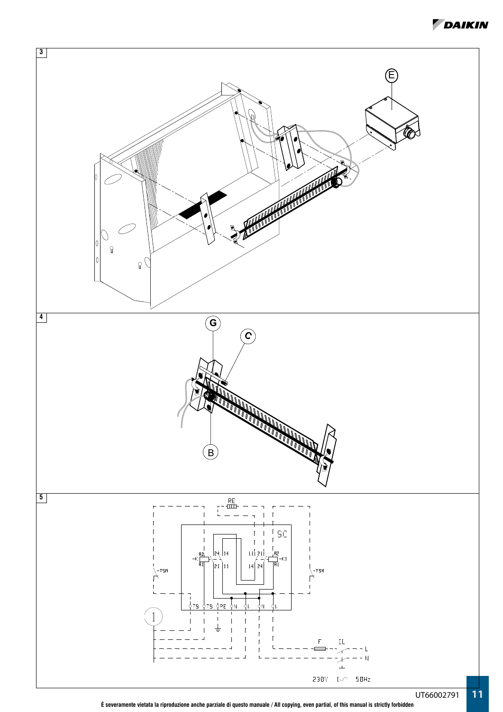DAIKIN



**È severamente vietata la riproduzione anche parziale di questo manuale / All copying, even partial, of this manual is strictly forbidden**